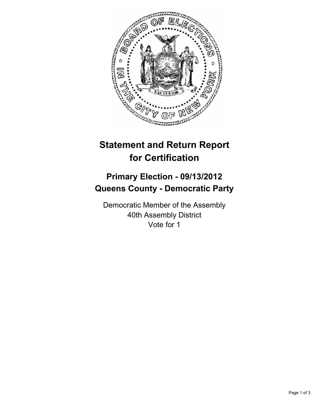

## **Statement and Return Report for Certification**

## **Primary Election - 09/13/2012 Queens County - Democratic Party**

Democratic Member of the Assembly 40th Assembly District Vote for 1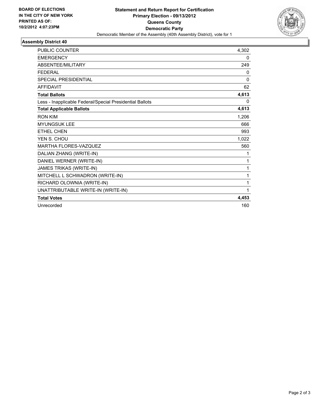

## **Assembly District 40**

| <b>PUBLIC COUNTER</b>                                    | 4,302        |
|----------------------------------------------------------|--------------|
| <b>EMERGENCY</b>                                         | 0            |
| ABSENTEE/MILITARY                                        | 249          |
| <b>FEDERAL</b>                                           | 0            |
| <b>SPECIAL PRESIDENTIAL</b>                              | $\mathbf{0}$ |
| <b>AFFIDAVIT</b>                                         | 62           |
| <b>Total Ballots</b>                                     | 4,613        |
| Less - Inapplicable Federal/Special Presidential Ballots | 0            |
| <b>Total Applicable Ballots</b>                          | 4,613        |
| <b>RON KIM</b>                                           | 1,206        |
| <b>MYUNGSUK LEE</b>                                      | 666          |
| <b>ETHEL CHEN</b>                                        | 993          |
| YEN S. CHOU                                              | 1,022        |
| MARTHA FLORES-VAZQUEZ                                    | 560          |
| DALIAN ZHANG (WRITE-IN)                                  | 1            |
| DANIEL WERNER (WRITE-IN)                                 | 1            |
| JAMES TRIKAS (WRITE-IN)                                  | 1            |
| MITCHELL L SCHWADRON (WRITE-IN)                          | 1            |
| RICHARD OLOWNIA (WRITE-IN)                               | 1            |
| UNATTRIBUTABLE WRITE-IN (WRITE-IN)                       | 1            |
| <b>Total Votes</b>                                       | 4,453        |
| Unrecorded                                               | 160          |